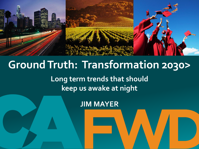

# **Ground Truth: Transformation 2030>**

**Long term trends that should keep us awake at night**

**JIM MAYER**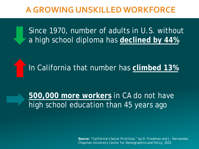## **A GROWING UNSKILLED WORKFORCE**

Since 1970, number of adults in U.S. without a high school diploma has **declined by 44%**

In California that number has **climbed 13%**

**500,000 more workers** in CA do not have high school education than 45 years ago

> *Source: "California's Social Priorities," by D. Friedman and J. Hernandez, Chapman University Center for Demographics and Policy, 2015*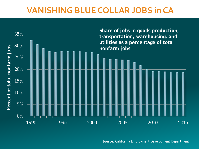## **VANISHING BLUE COLLAR JOBS in CA**



*Source: California Employment Development Department*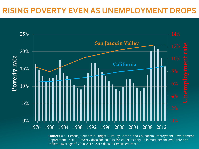#### **RISING POVERTY EVEN AS UNEMPLOYMENT DROPS**



*Source: U.S. Census, California Budget & Policy Center, and California Employment Development Department. NOTE: Poverty data for 2012 is for counties only. It is most recent available and reflects average of 2008-2012. 2013 data is Census estimate.*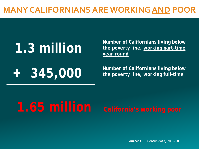## **MANY CALIFORNIANS ARE WORKING AND POOR**

**1.3 million** Mumber of Californians living below the poverty line, working part-time **the poverty line, working part-time year-round**

**1** 345,000 Mumber of Californians living below the poverty line, working full-time **the poverty line, working full-time**

*Source: U.S. Census data, 2009-2013*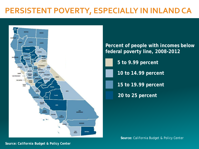## **PERSISTENT POVERTY, ESPECIALLY IN INLAND CA**



**20 to 25 percent 5 to 9.99 percent 10 to 14.99 percent 15 to 19.99 percent Percent of people with incomes below federal poverty line, 2008-2012**

*Source: California Budget & Policy Center*

*Source: California Budget & Policy Center*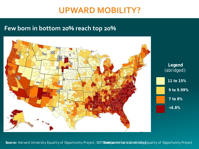## **UPWARD MOBILITY?**

#### **Few born in bottom 20% reach top 20%**



Source: Harvard University Equality of Opportunity Project; NOT**E:olud¢estHdrf@rrddshio**felti**vity**@Equality of Opportunity Project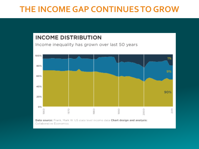### **THE INCOME GAP CONTINUES TO GROW**

#### **INCOME DISTRIBUTION**

Income inequality has grown over last 50 years



Data source: Frank, Mark W. US state level income data Chart design and analysis: Collaborative Economics